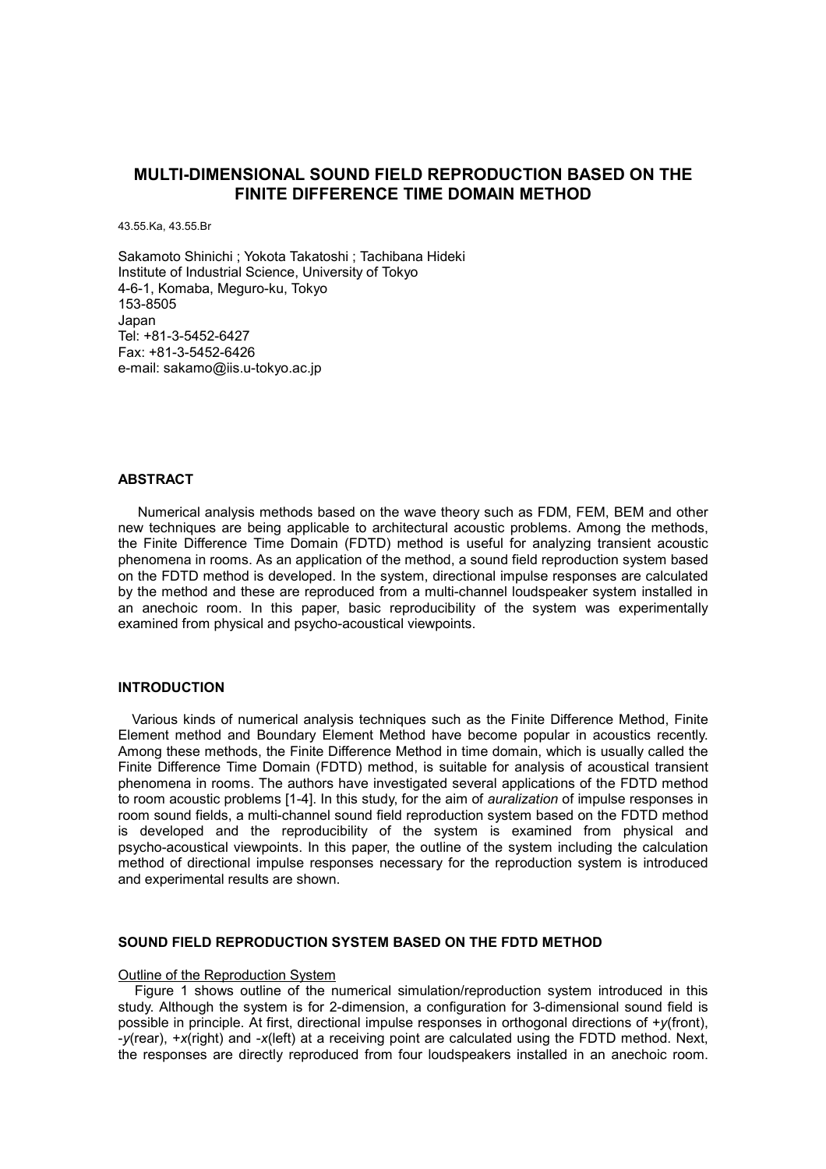## **MULTI-DIMENSIONAL SOUND FIELD REPRODUCTION BASED ON THE FINITE DIFFERENCE TIME DOMAIN METHOD**

43.55.Ka, 43.55.Br

Sakamoto Shinichi ; Yokota Takatoshi ; Tachibana Hideki Institute of Industrial Science, University of Tokyo 4-6-1, Komaba, Meguro-ku, Tokyo 153-8505 Japan Tel: +81-3-5452-6427 Fax: +81-3-5452-6426 e-mail: sakamo@iis.u-tokyo.ac.jp

## **ABSTRACT**

Numerical analysis methods based on the wave theory such as FDM, FEM, BEM and other new techniques are being applicable to architectural acoustic problems. Among the methods, the Finite Difference Time Domain (FDTD) method is useful for analyzing transient acoustic phenomena in rooms. As an application of the method, a sound field reproduction system based on the FDTD method is developed. In the system, directional impulse responses are calculated by the method and these are reproduced from a multi-channel loudspeaker system installed in an anechoic room. In this paper, basic reproducibility of the system was experimentally examined from physical and psycho-acoustical viewpoints.

## **INTRODUCTION**

Various kinds of numerical analysis techniques such as the Finite Difference Method, Finite Element method and Boundary Element Method have become popular in acoustics recently. Among these methods, the Finite Difference Method in time domain, which is usually called the Finite Difference Time Domain (FDTD) method, is suitable for analysis of acoustical transient phenomena in rooms. The authors have investigated several applications of the FDTD method to room acoustic problems [1-4]. In this study, for the aim of *auralization* of impulse responses in room sound fields, a multi-channel sound field reproduction system based on the FDTD method is developed and the reproducibility of the system is examined from physical and psycho-acoustical viewpoints. In this paper, the outline of the system including the calculation method of directional impulse responses necessary for the reproduction system is introduced and experimental results are shown.

## **SOUND FIELD REPRODUCTION SYSTEM BASED ON THE FDTD METHOD**

### Outline of the Reproduction System

 Figure 1 shows outline of the numerical simulation/reproduction system introduced in this study. Although the system is for 2-dimension, a configuration for 3-dimensional sound field is possible in principle. At first, directional impulse responses in orthogonal directions of +*y*(front), -*y*(rear), +*x*(right) and -*x*(left) at a receiving point are calculated using the FDTD method. Next, the responses are directly reproduced from four loudspeakers installed in an anechoic room.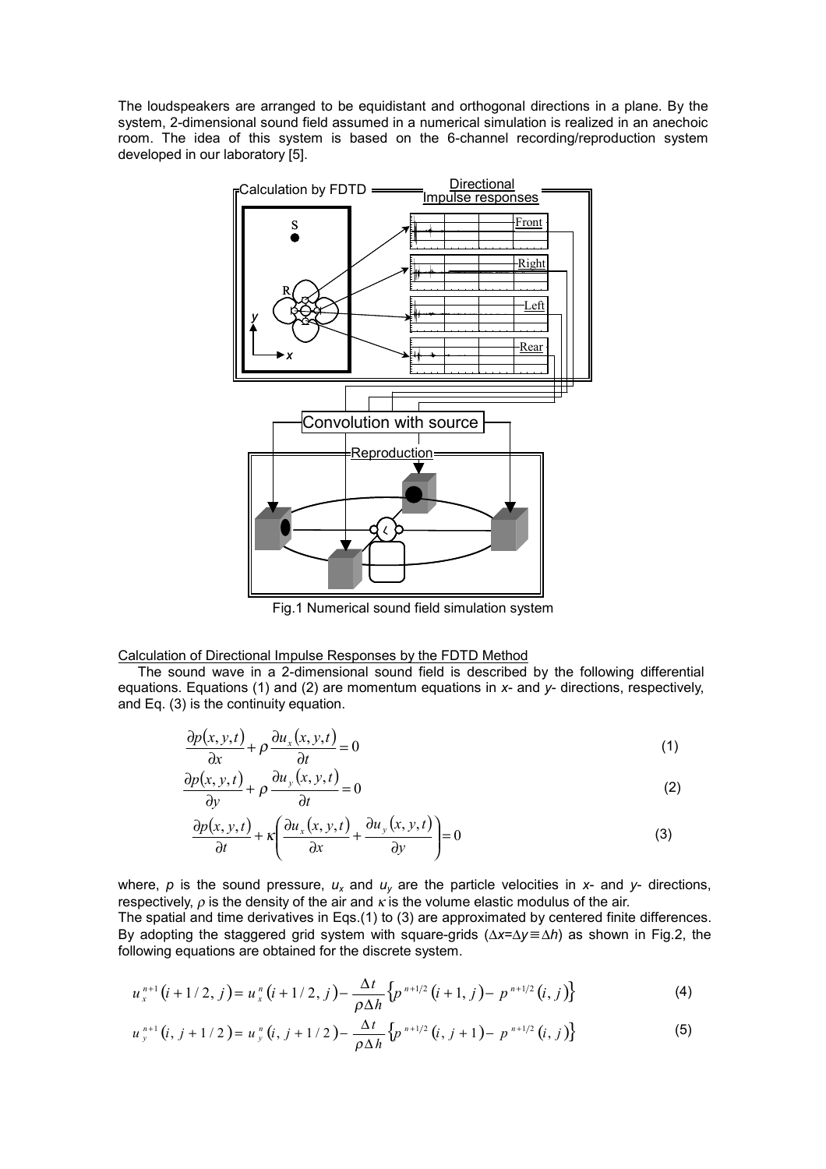The loudspeakers are arranged to be equidistant and orthogonal directions in a plane. By the system, 2-dimensional sound field assumed in a numerical simulation is realized in an anechoic room. The idea of this system is based on the 6-channel recording/reproduction system developed in our laboratory [5].



Fig.1 Numerical sound field simulation system

Calculation of Directional Impulse Responses by the FDTD Method

The sound wave in a 2-dimensional sound field is described by the following differential equations. Equations (1) and (2) are momentum equations in *x*- and *y*- directions, respectively, and Eq. (3) is the continuity equation.

$$
\frac{\partial p(x, y, t)}{\partial x} + \rho \frac{\partial u_x(x, y, t)}{\partial t} = 0
$$
\n(1)

$$
\frac{\partial p(x, y, t)}{\partial y} + \rho \frac{\partial u_y(x, y, t)}{\partial t} = 0
$$
\n(2)

$$
\frac{\partial p(x, y, t)}{\partial t} + \kappa \left( \frac{\partial u_x(x, y, t)}{\partial x} + \frac{\partial u_y(x, y, t)}{\partial y} \right) = 0
$$
\n(3)

where,  $p$  is the sound pressure,  $u_x$  and  $u_y$  are the particle velocities in  $x$ - and  $y$ - directions, respectively,  $\rho$  is the density of the air and  $\kappa$  is the volume elastic modulus of the air. The spatial and time derivatives in Eqs.(1) to (3) are approximated by centered finite differences. By adopting the staggered grid system with square-grids (∆*x*=∆*y* ≡ ∆*h*) as shown in Fig.2, the following equations are obtained for the discrete system.

$$
u_x^{n+1}(i+1/2,j) = u_x^n(i+1/2,j) - \frac{\Delta t}{\rho \Delta h} \left\{ p^{n+1/2}(i+1,j) - p^{n+1/2}(i,j) \right\}
$$
 (4)

$$
u_{y}^{n+1}(i, j+1/2) = u_{y}^{n}(i, j+1/2) - \frac{\Delta t}{\rho \Delta h} \left\{ p^{n+1/2}(i, j+1) - p^{n+1/2}(i, j) \right\}
$$
(5)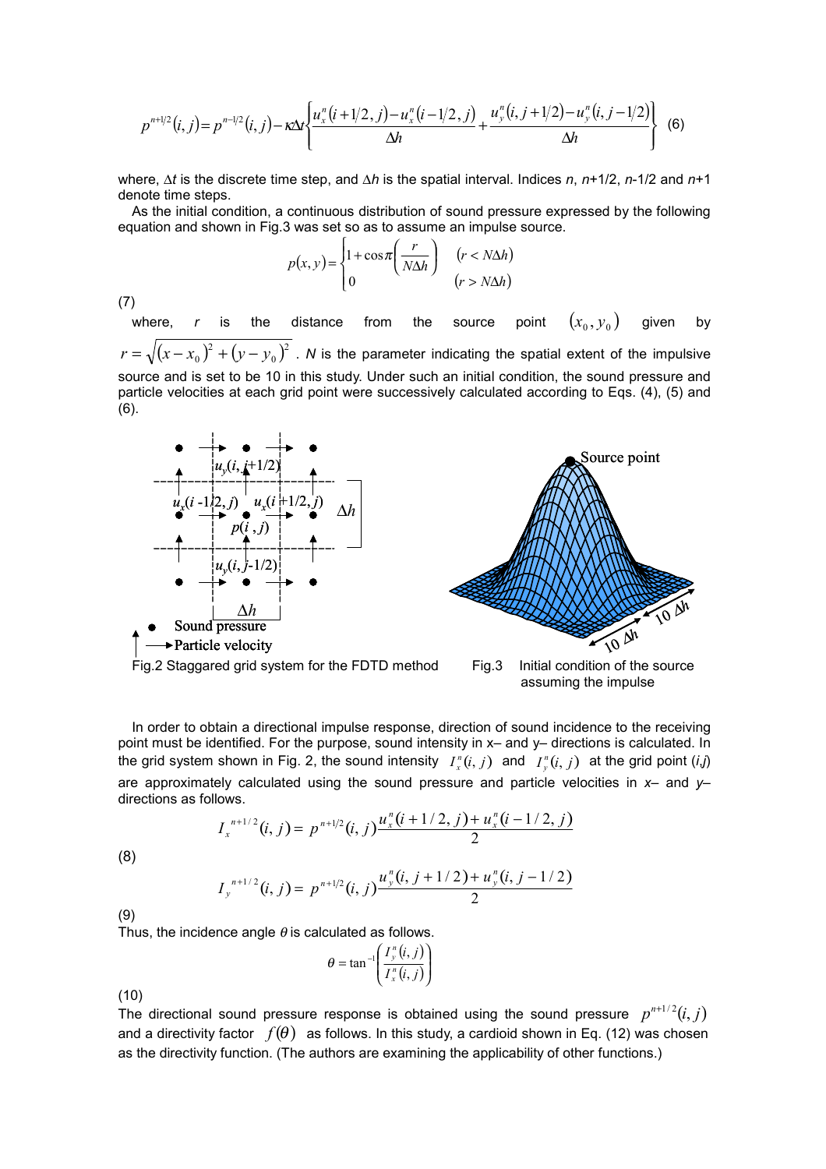$$
p^{n+1/2}(i,j) = p^{n-1/2}(i,j) - \kappa \Delta t \left\{ \frac{u_x^n(i+1/2,j) - u_x^n(i-1/2,j)}{\Delta h} + \frac{u_y^n(i,j+1/2) - u_y^n(i,j-1/2)}{\Delta h} \right\}
$$
(6)

where, ∆*t* is the discrete time step, and ∆*h* is the spatial interval. Indices *n*, *n*+1/2, *n*-1/2 and *n*+1 denote time steps.

As the initial condition, a continuous distribution of sound pressure expressed by the following equation and shown in Fig.3 was set so as to assume an impulse source.

$$
p(x, y) = \begin{cases} 1 + \cos \pi \left( \frac{r}{N \Delta h} \right) & (r < N \Delta h) \\ 0 & (r > N \Delta h) \end{cases}
$$

(7)

where,  $r$  is the distance from the source point  $(x_{_0}, y_{_0})$  given by  $(x-x_0)^2 + (y-y_0)^2$  $r = \sqrt{(x-x_0)^2 + (y-y_0)^2}$  . *N* is the parameter indicating the spatial extent of the impulsive source and is set to be 10 in this study. Under such an initial condition, the sound pressure and particle velocities at each grid point were successively calculated according to Eqs. (4), (5) and (6).





assuming the impulse

In order to obtain a directional impulse response, direction of sound incidence to the receiving point must be identified. For the purpose, sound intensity in x– and y– directions is calculated. In the grid system shown in Fig. 2, the sound intensity  $I_x^n(i, j)$  and  $I_y^n(i, j)$  at the grid point  $(i, j)$ are approximately calculated using the sound pressure and particle velocities in *x*– and *y*– directions as follows.

$$
I_x^{n+1/2}(i,j) = p^{n+1/2}(i,j)\frac{u_x^n(i+1/2,j) + u_x^n(i-1/2,j)}{2}
$$

(8)

$$
I_{y}^{n+1/2}(i,j) = p^{n+1/2}(i,j)\frac{u_{y}^{n}(i,j+1/2) + u_{y}^{n}(i,j-1/2)}{2}
$$

(9)

Thus, the incidence angle  $\theta$  is calculated as follows.

$$
\theta = \tan^{-1}\left(\frac{I_y^n(i,j)}{I_x^n(i,j)}\right)
$$

(10)

The directional sound pressure response is obtained using the sound pressure  $p^{n+1/2}(i, j)$ and a directivity factor  $f(\theta)$  as follows. In this study, a cardioid shown in Eq. (12) was chosen as the directivity function. (The authors are examining the applicability of other functions.)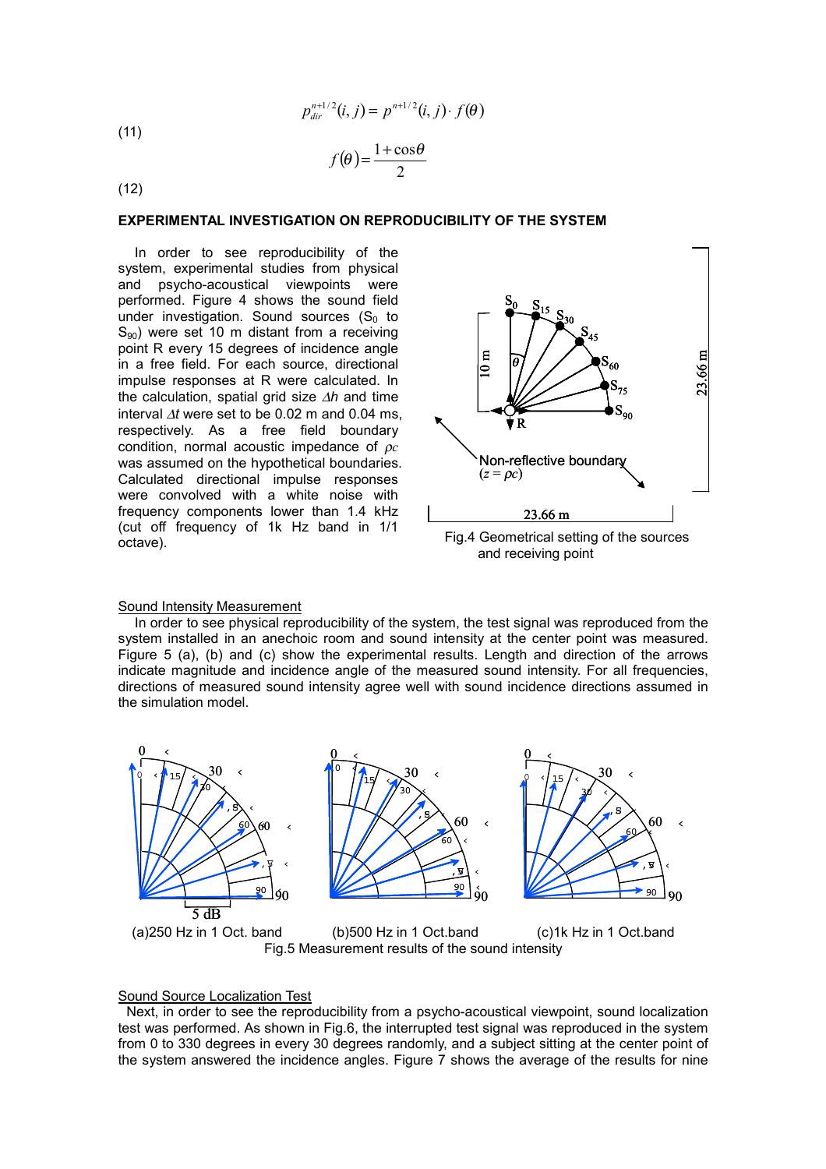$$
p_{dir}^{n+1/2}(i,j) = p^{n+1/2}(i,j) \cdot f(\theta)
$$

(11)

$$
f(\theta) = \frac{1 + \cos \theta}{2}
$$

(12)

## **EXPERIMENTAL INVESTIGATION ON REPRODUCIBILITY OF THE SYSTEM**

 In order to see reproducibility of the system, experimental studies from physical and psycho-acoustical viewpoints were performed. Figure 4 shows the sound field under investigation. Sound sources  $(S_0$  to  $S_{90}$ ) were set 10 m distant from a receiving point R every 15 degrees of incidence angle in a free field. For each source, directional impulse responses at R were calculated. In the calculation, spatial grid size ∆*h* and time interval ∆*t* were set to be 0.02 m and 0.04 ms, respectively. As a free field boundary condition, normal acoustic impedance of ρ*c* was assumed on the hypothetical boundaries. Calculated directional impulse responses were convolved with a white noise with frequency components lower than 1.4 kHz (cut off frequency of 1k Hz band in 1/1 octave).



and receiving point

#### Sound Intensity Measurement

 In order to see physical reproducibility of the system, the test signal was reproduced from the system installed in an anechoic room and sound intensity at the center point was measured. Figure 5 (a), (b) and (c) show the experimental results. Length and direction of the arrows indicate magnitude and incidence angle of the measured sound intensity. For all frequencies, directions of measured sound intensity agree well with sound incidence directions assumed in the simulation model.



# Sound Source Localization Test

 Next, in order to see the reproducibility from a psycho-acoustical viewpoint, sound localization test was performed. As shown in Fig.6, the interrupted test signal was reproduced in the system from 0 to 330 degrees in every 30 degrees randomly, and a subject sitting at the center point of the system answered the incidence angles. Figure 7 shows the average of the results for nine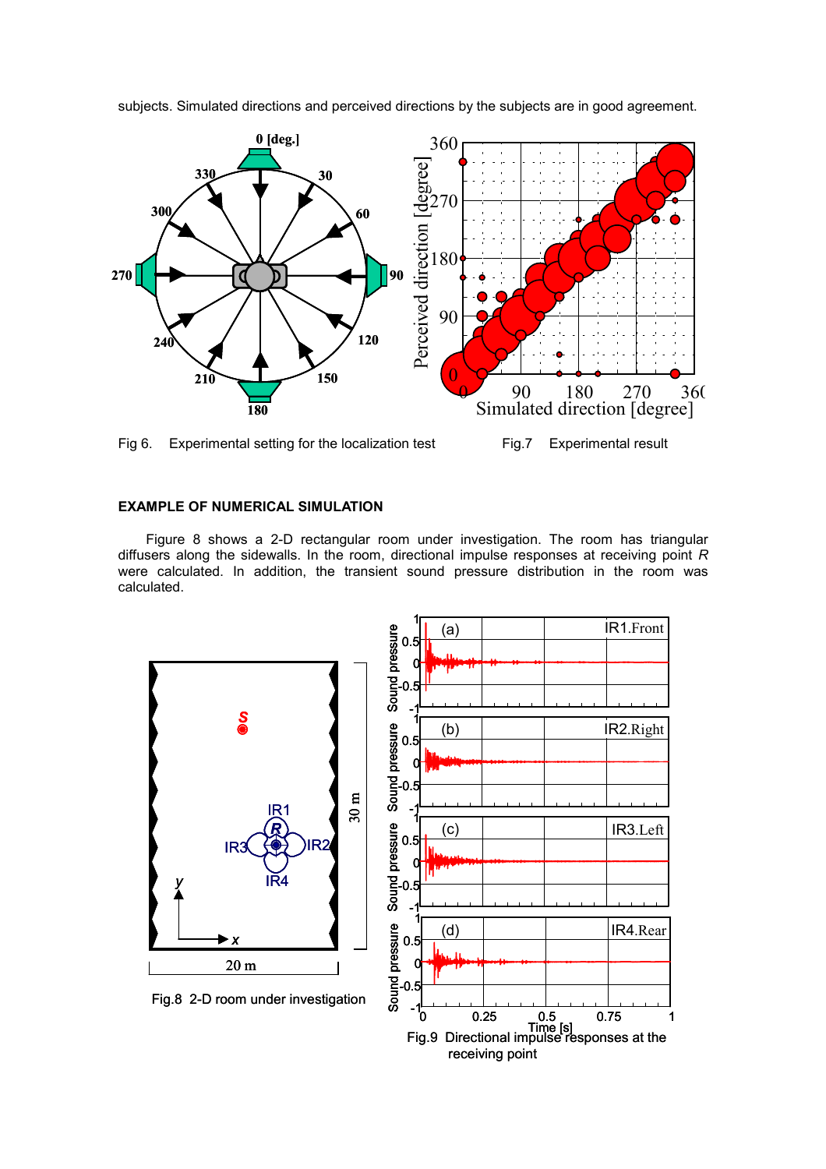

subjects. Simulated directions and perceived directions by the subjects are in good agreement.



## **EXAMPLE OF NUMERICAL SIMULATION**

Figure 8 shows a 2-D rectangular room under investigation. The room has triangular diffusers along the sidewalls. In the room, directional impulse responses at receiving point *R* were calculated. In addition, the transient sound pressure distribution in the room was calculated.



receiving point